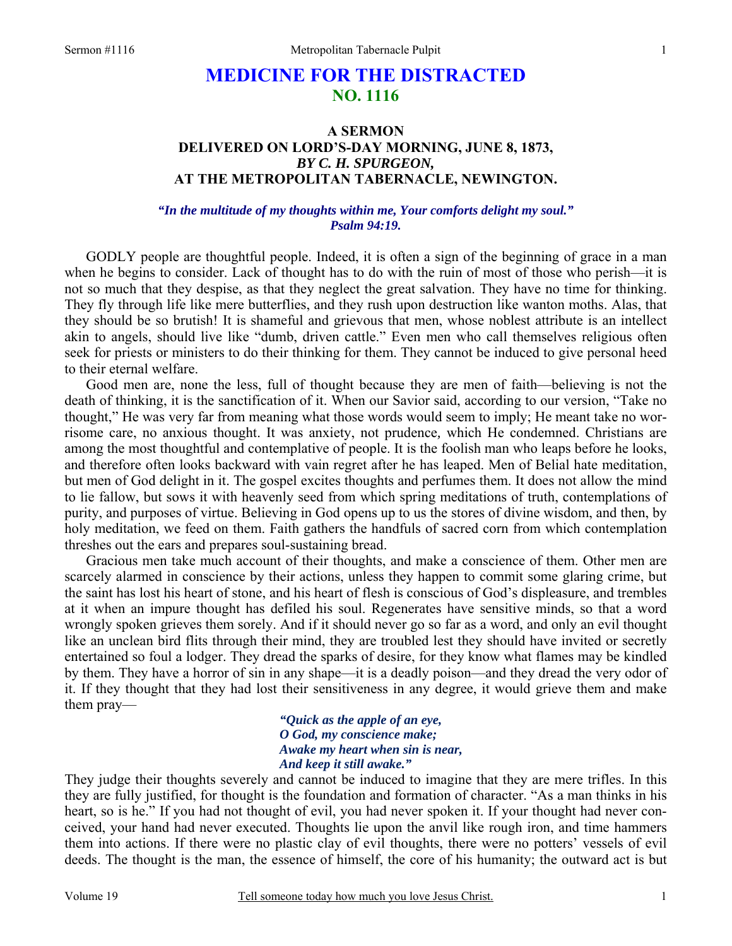# **MEDICINE FOR THE DISTRACTED NO. 1116**

# **A SERMON DELIVERED ON LORD'S-DAY MORNING, JUNE 8, 1873,**  *BY C. H. SPURGEON,*  **AT THE METROPOLITAN TABERNACLE, NEWINGTON.**

*"In the multitude of my thoughts within me, Your comforts delight my soul." Psalm 94:19.* 

GODLY people are thoughtful people. Indeed, it is often a sign of the beginning of grace in a man when he begins to consider. Lack of thought has to do with the ruin of most of those who perish—it is not so much that they despise, as that they neglect the great salvation. They have no time for thinking. They fly through life like mere butterflies, and they rush upon destruction like wanton moths. Alas, that they should be so brutish! It is shameful and grievous that men, whose noblest attribute is an intellect akin to angels, should live like "dumb, driven cattle." Even men who call themselves religious often seek for priests or ministers to do their thinking for them. They cannot be induced to give personal heed to their eternal welfare.

Good men are, none the less, full of thought because they are men of faith—believing is not the death of thinking, it is the sanctification of it. When our Savior said, according to our version, "Take no thought," He was very far from meaning what those words would seem to imply; He meant take no worrisome care, no anxious thought. It was anxiety, not prudence*,* which He condemned. Christians are among the most thoughtful and contemplative of people. It is the foolish man who leaps before he looks, and therefore often looks backward with vain regret after he has leaped. Men of Belial hate meditation, but men of God delight in it. The gospel excites thoughts and perfumes them. It does not allow the mind to lie fallow, but sows it with heavenly seed from which spring meditations of truth, contemplations of purity, and purposes of virtue. Believing in God opens up to us the stores of divine wisdom, and then, by holy meditation, we feed on them. Faith gathers the handfuls of sacred corn from which contemplation threshes out the ears and prepares soul-sustaining bread.

Gracious men take much account of their thoughts, and make a conscience of them. Other men are scarcely alarmed in conscience by their actions, unless they happen to commit some glaring crime, but the saint has lost his heart of stone, and his heart of flesh is conscious of God's displeasure, and trembles at it when an impure thought has defiled his soul. Regenerates have sensitive minds, so that a word wrongly spoken grieves them sorely. And if it should never go so far as a word, and only an evil thought like an unclean bird flits through their mind, they are troubled lest they should have invited or secretly entertained so foul a lodger. They dread the sparks of desire, for they know what flames may be kindled by them. They have a horror of sin in any shape—it is a deadly poison—and they dread the very odor of it. If they thought that they had lost their sensitiveness in any degree, it would grieve them and make them pray—

> *"Quick as the apple of an eye, O God, my conscience make; Awake my heart when sin is near, And keep it still awake."*

They judge their thoughts severely and cannot be induced to imagine that they are mere trifles. In this they are fully justified, for thought is the foundation and formation of character. "As a man thinks in his heart, so is he." If you had not thought of evil, you had never spoken it. If your thought had never conceived, your hand had never executed. Thoughts lie upon the anvil like rough iron, and time hammers them into actions. If there were no plastic clay of evil thoughts, there were no potters' vessels of evil deeds. The thought is the man, the essence of himself, the core of his humanity; the outward act is but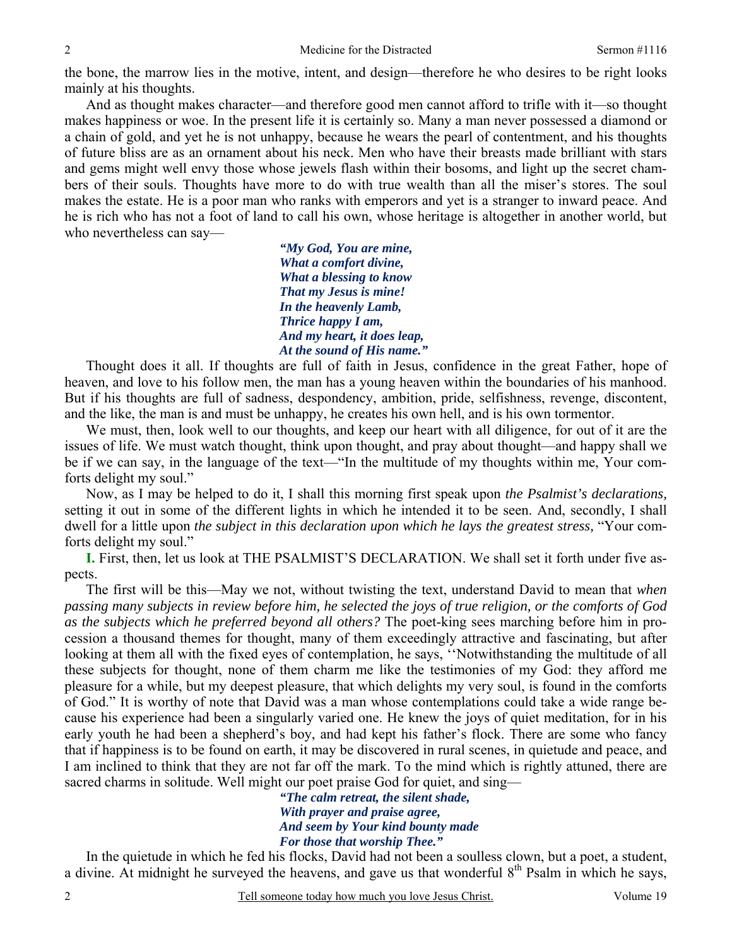the bone, the marrow lies in the motive, intent, and design—therefore he who desires to be right looks mainly at his thoughts.

 And as thought makes character—and therefore good men cannot afford to trifle with it—so thought makes happiness or woe. In the present life it is certainly so. Many a man never possessed a diamond or a chain of gold, and yet he is not unhappy, because he wears the pearl of contentment, and his thoughts of future bliss are as an ornament about his neck. Men who have their breasts made brilliant with stars and gems might well envy those whose jewels flash within their bosoms, and light up the secret chambers of their souls. Thoughts have more to do with true wealth than all the miser's stores. The soul makes the estate. He is a poor man who ranks with emperors and yet is a stranger to inward peace. And he is rich who has not a foot of land to call his own, whose heritage is altogether in another world, but who nevertheless can say—

> *"My God, You are mine, What a comfort divine, What a blessing to know That my Jesus is mine! In the heavenly Lamb, Thrice happy I am, And my heart, it does leap, At the sound of His name."*

Thought does it all. If thoughts are full of faith in Jesus, confidence in the great Father, hope of heaven, and love to his follow men, the man has a young heaven within the boundaries of his manhood. But if his thoughts are full of sadness, despondency, ambition, pride, selfishness, revenge, discontent, and the like, the man is and must be unhappy, he creates his own hell, and is his own tormentor.

We must, then, look well to our thoughts, and keep our heart with all diligence, for out of it are the issues of life. We must watch thought, think upon thought, and pray about thought—and happy shall we be if we can say, in the language of the text—"In the multitude of my thoughts within me, Your comforts delight my soul."

Now, as I may be helped to do it, I shall this morning first speak upon *the Psalmist's declarations,* setting it out in some of the different lights in which he intended it to be seen. And, secondly, I shall dwell for a little upon *the subject in this declaration upon which he lays the greatest stress,* "Your comforts delight my soul."

**I.** First, then, let us look at THE PSALMIST'S DECLARATION. We shall set it forth under five aspects.

The first will be this—May we not, without twisting the text, understand David to mean that *when passing many subjects in review before him, he selected the joys of true religion, or the comforts of God as the subjects which he preferred beyond all others?* The poet-king sees marching before him in procession a thousand themes for thought, many of them exceedingly attractive and fascinating, but after looking at them all with the fixed eyes of contemplation, he says, ''Notwithstanding the multitude of all these subjects for thought, none of them charm me like the testimonies of my God: they afford me pleasure for a while, but my deepest pleasure, that which delights my very soul, is found in the comforts of God." It is worthy of note that David was a man whose contemplations could take a wide range because his experience had been a singularly varied one. He knew the joys of quiet meditation, for in his early youth he had been a shepherd's boy, and had kept his father's flock. There are some who fancy that if happiness is to be found on earth, it may be discovered in rural scenes, in quietude and peace, and I am inclined to think that they are not far off the mark. To the mind which is rightly attuned, there are sacred charms in solitude. Well might our poet praise God for quiet, and sing—

*"The calm retreat, the silent shade, With prayer and praise agree, And seem by Your kind bounty made For those that worship Thee."* 

 In the quietude in which he fed his flocks, David had not been a soulless clown, but a poet, a student, a divine. At midnight he surveyed the heavens, and gave us that wonderful  $8<sup>th</sup>$  Psalm in which he says,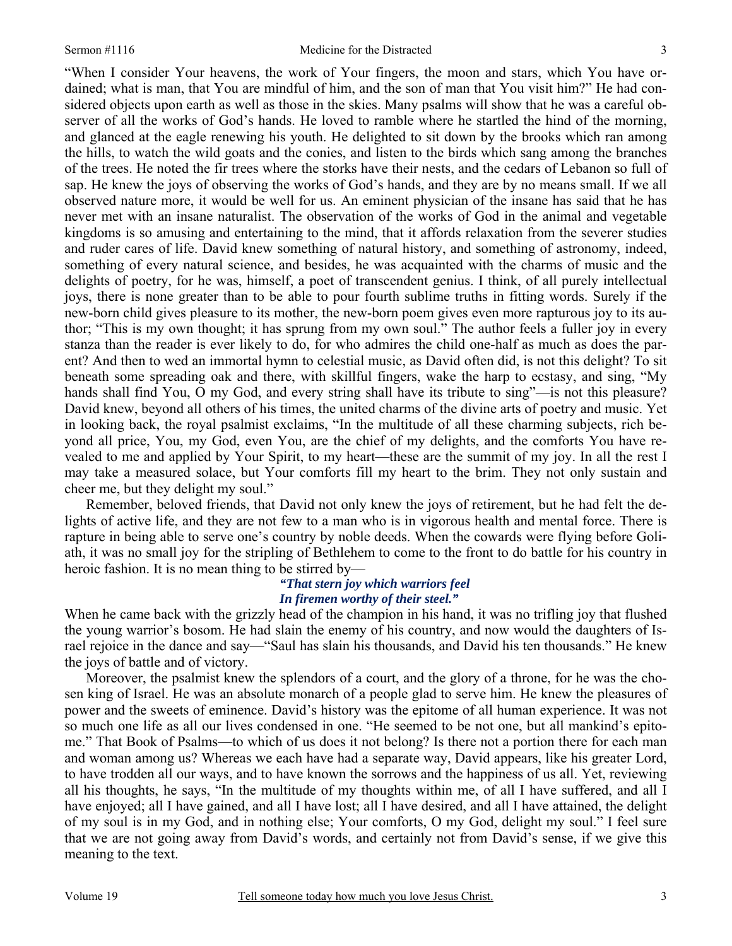"When I consider Your heavens, the work of Your fingers, the moon and stars, which You have ordained; what is man, that You are mindful of him, and the son of man that You visit him?" He had considered objects upon earth as well as those in the skies. Many psalms will show that he was a careful observer of all the works of God's hands. He loved to ramble where he startled the hind of the morning, and glanced at the eagle renewing his youth. He delighted to sit down by the brooks which ran among the hills, to watch the wild goats and the conies, and listen to the birds which sang among the branches of the trees. He noted the fir trees where the storks have their nests, and the cedars of Lebanon so full of sap. He knew the joys of observing the works of God's hands, and they are by no means small. If we all observed nature more, it would be well for us. An eminent physician of the insane has said that he has never met with an insane naturalist. The observation of the works of God in the animal and vegetable kingdoms is so amusing and entertaining to the mind, that it affords relaxation from the severer studies and ruder cares of life. David knew something of natural history, and something of astronomy, indeed, something of every natural science, and besides, he was acquainted with the charms of music and the delights of poetry, for he was, himself, a poet of transcendent genius. I think, of all purely intellectual joys, there is none greater than to be able to pour fourth sublime truths in fitting words. Surely if the new-born child gives pleasure to its mother, the new-born poem gives even more rapturous joy to its author; "This is my own thought; it has sprung from my own soul." The author feels a fuller joy in every stanza than the reader is ever likely to do, for who admires the child one-half as much as does the parent? And then to wed an immortal hymn to celestial music, as David often did, is not this delight? To sit beneath some spreading oak and there, with skillful fingers, wake the harp to ecstasy, and sing, "My hands shall find You, O my God, and every string shall have its tribute to sing"—is not this pleasure? David knew, beyond all others of his times, the united charms of the divine arts of poetry and music. Yet in looking back, the royal psalmist exclaims, "In the multitude of all these charming subjects, rich beyond all price, You, my God, even You, are the chief of my delights, and the comforts You have revealed to me and applied by Your Spirit, to my heart—these are the summit of my joy. In all the rest I may take a measured solace, but Your comforts fill my heart to the brim. They not only sustain and cheer me, but they delight my soul."

Remember, beloved friends, that David not only knew the joys of retirement, but he had felt the delights of active life, and they are not few to a man who is in vigorous health and mental force. There is rapture in being able to serve one's country by noble deeds. When the cowards were flying before Goliath, it was no small joy for the stripling of Bethlehem to come to the front to do battle for his country in heroic fashion. It is no mean thing to be stirred by—

# *"That stern joy which warriors feel In firemen worthy of their steel."*

When he came back with the grizzly head of the champion in his hand, it was no trifling joy that flushed the young warrior's bosom. He had slain the enemy of his country, and now would the daughters of Israel rejoice in the dance and say—"Saul has slain his thousands, and David his ten thousands." He knew the joys of battle and of victory.

 Moreover, the psalmist knew the splendors of a court, and the glory of a throne, for he was the chosen king of Israel. He was an absolute monarch of a people glad to serve him. He knew the pleasures of power and the sweets of eminence. David's history was the epitome of all human experience. It was not so much one life as all our lives condensed in one. "He seemed to be not one, but all mankind's epitome." That Book of Psalms—to which of us does it not belong? Is there not a portion there for each man and woman among us? Whereas we each have had a separate way, David appears, like his greater Lord, to have trodden all our ways, and to have known the sorrows and the happiness of us all. Yet, reviewing all his thoughts, he says, "In the multitude of my thoughts within me, of all I have suffered, and all I have enjoyed; all I have gained, and all I have lost; all I have desired, and all I have attained, the delight of my soul is in my God, and in nothing else; Your comforts, O my God, delight my soul." I feel sure that we are not going away from David's words, and certainly not from David's sense, if we give this meaning to the text.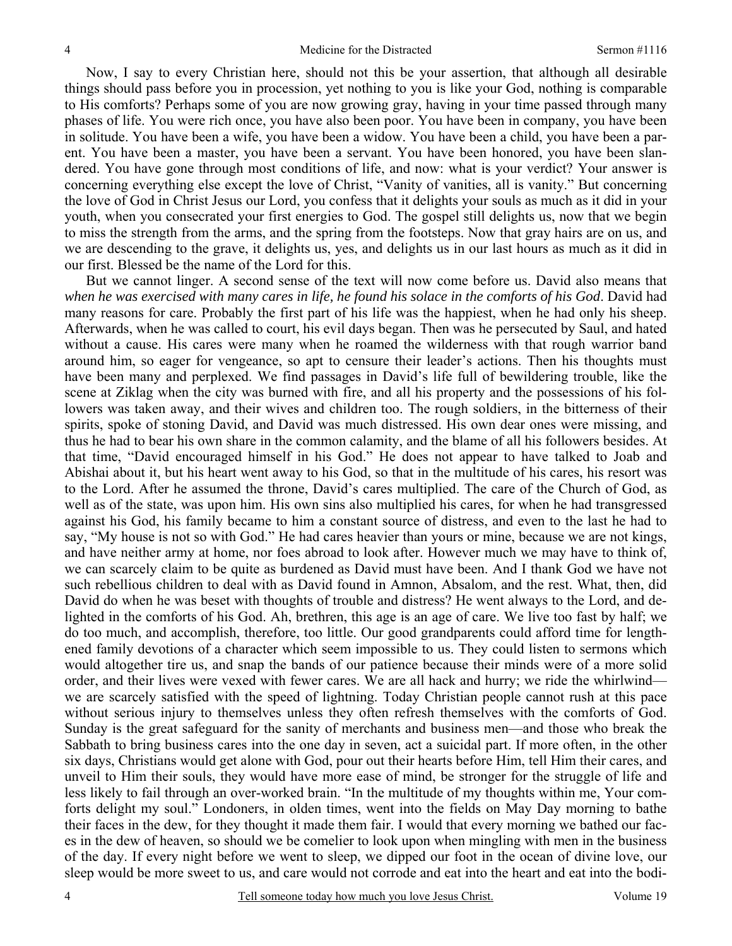Now, I say to every Christian here, should not this be your assertion, that although all desirable things should pass before you in procession, yet nothing to you is like your God, nothing is comparable to His comforts? Perhaps some of you are now growing gray, having in your time passed through many phases of life. You were rich once, you have also been poor. You have been in company, you have been in solitude. You have been a wife, you have been a widow. You have been a child, you have been a parent. You have been a master, you have been a servant. You have been honored, you have been slandered. You have gone through most conditions of life, and now: what is your verdict? Your answer is concerning everything else except the love of Christ, "Vanity of vanities, all is vanity." But concerning the love of God in Christ Jesus our Lord, you confess that it delights your souls as much as it did in your youth, when you consecrated your first energies to God. The gospel still delights us, now that we begin to miss the strength from the arms, and the spring from the footsteps. Now that gray hairs are on us, and we are descending to the grave, it delights us, yes, and delights us in our last hours as much as it did in our first. Blessed be the name of the Lord for this.

But we cannot linger. A second sense of the text will now come before us. David also means that *when he was exercised with many cares in life, he found his solace in the comforts of his God*. David had many reasons for care. Probably the first part of his life was the happiest, when he had only his sheep. Afterwards, when he was called to court, his evil days began. Then was he persecuted by Saul, and hated without a cause. His cares were many when he roamed the wilderness with that rough warrior band around him, so eager for vengeance, so apt to censure their leader's actions. Then his thoughts must have been many and perplexed. We find passages in David's life full of bewildering trouble, like the scene at Ziklag when the city was burned with fire, and all his property and the possessions of his followers was taken away, and their wives and children too. The rough soldiers, in the bitterness of their spirits, spoke of stoning David, and David was much distressed. His own dear ones were missing, and thus he had to bear his own share in the common calamity, and the blame of all his followers besides. At that time, "David encouraged himself in his God." He does not appear to have talked to Joab and Abishai about it, but his heart went away to his God, so that in the multitude of his cares, his resort was to the Lord. After he assumed the throne, David's cares multiplied. The care of the Church of God, as well as of the state, was upon him. His own sins also multiplied his cares, for when he had transgressed against his God, his family became to him a constant source of distress, and even to the last he had to say, "My house is not so with God." He had cares heavier than yours or mine, because we are not kings, and have neither army at home, nor foes abroad to look after. However much we may have to think of, we can scarcely claim to be quite as burdened as David must have been. And I thank God we have not such rebellious children to deal with as David found in Amnon, Absalom, and the rest. What, then, did David do when he was beset with thoughts of trouble and distress? He went always to the Lord, and delighted in the comforts of his God. Ah, brethren, this age is an age of care. We live too fast by half; we do too much, and accomplish, therefore, too little. Our good grandparents could afford time for lengthened family devotions of a character which seem impossible to us. They could listen to sermons which would altogether tire us, and snap the bands of our patience because their minds were of a more solid order, and their lives were vexed with fewer cares. We are all hack and hurry; we ride the whirlwind we are scarcely satisfied with the speed of lightning. Today Christian people cannot rush at this pace without serious injury to themselves unless they often refresh themselves with the comforts of God. Sunday is the great safeguard for the sanity of merchants and business men—and those who break the Sabbath to bring business cares into the one day in seven, act a suicidal part. If more often, in the other six days, Christians would get alone with God, pour out their hearts before Him, tell Him their cares, and unveil to Him their souls, they would have more ease of mind, be stronger for the struggle of life and less likely to fail through an over-worked brain. "In the multitude of my thoughts within me, Your comforts delight my soul." Londoners, in olden times, went into the fields on May Day morning to bathe their faces in the dew, for they thought it made them fair. I would that every morning we bathed our faces in the dew of heaven, so should we be comelier to look upon when mingling with men in the business of the day. If every night before we went to sleep, we dipped our foot in the ocean of divine love, our sleep would be more sweet to us, and care would not corrode and eat into the heart and eat into the bodi-

4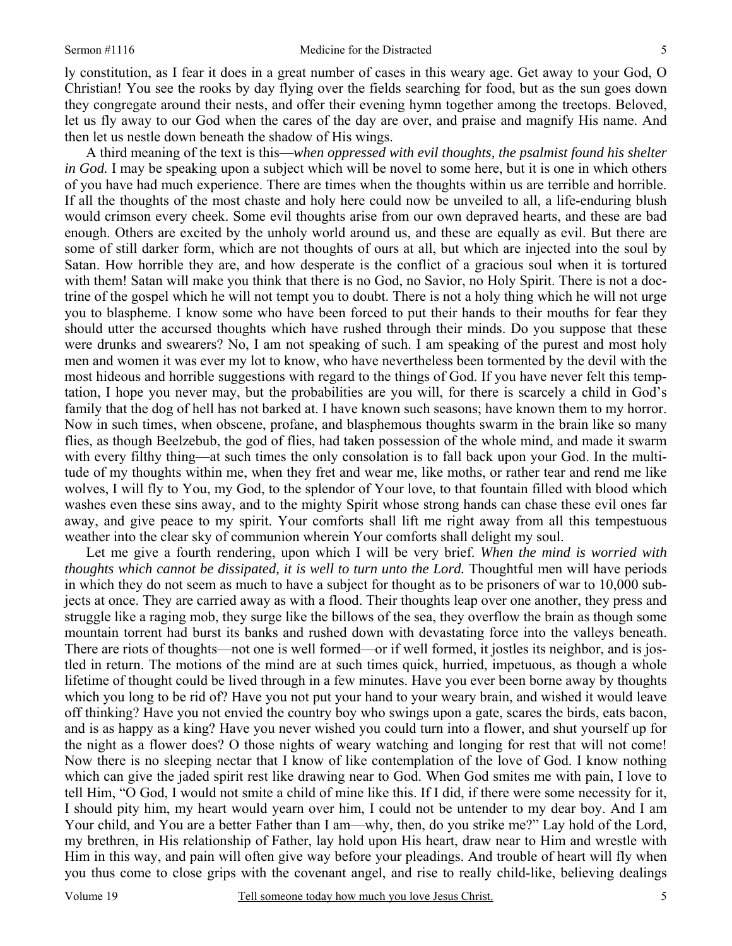#### Sermon #1116 Medicine for the Distracted

ly constitution, as I fear it does in a great number of cases in this weary age. Get away to your God, O Christian! You see the rooks by day flying over the fields searching for food, but as the sun goes down they congregate around their nests, and offer their evening hymn together among the treetops. Beloved, let us fly away to our God when the cares of the day are over, and praise and magnify His name. And then let us nestle down beneath the shadow of His wings.

A third meaning of the text is this—*when oppressed with evil thoughts, the psalmist found his shelter in God.* I may be speaking upon a subject which will be novel to some here, but it is one in which others of you have had much experience. There are times when the thoughts within us are terrible and horrible. If all the thoughts of the most chaste and holy here could now be unveiled to all, a life-enduring blush would crimson every cheek. Some evil thoughts arise from our own depraved hearts, and these are bad enough. Others are excited by the unholy world around us, and these are equally as evil. But there are some of still darker form, which are not thoughts of ours at all, but which are injected into the soul by Satan. How horrible they are, and how desperate is the conflict of a gracious soul when it is tortured with them! Satan will make you think that there is no God, no Savior, no Holy Spirit. There is not a doctrine of the gospel which he will not tempt you to doubt. There is not a holy thing which he will not urge you to blaspheme. I know some who have been forced to put their hands to their mouths for fear they should utter the accursed thoughts which have rushed through their minds. Do you suppose that these were drunks and swearers? No, I am not speaking of such. I am speaking of the purest and most holy men and women it was ever my lot to know, who have nevertheless been tormented by the devil with the most hideous and horrible suggestions with regard to the things of God. If you have never felt this temptation, I hope you never may, but the probabilities are you will, for there is scarcely a child in God's family that the dog of hell has not barked at. I have known such seasons; have known them to my horror. Now in such times, when obscene, profane, and blasphemous thoughts swarm in the brain like so many flies, as though Beelzebub, the god of flies, had taken possession of the whole mind, and made it swarm with every filthy thing—at such times the only consolation is to fall back upon your God. In the multitude of my thoughts within me, when they fret and wear me, like moths, or rather tear and rend me like wolves, I will fly to You, my God, to the splendor of Your love, to that fountain filled with blood which washes even these sins away, and to the mighty Spirit whose strong hands can chase these evil ones far away, and give peace to my spirit. Your comforts shall lift me right away from all this tempestuous weather into the clear sky of communion wherein Your comforts shall delight my soul.

Let me give a fourth rendering, upon which I will be very brief. *When the mind is worried with thoughts which cannot be dissipated, it is well to turn unto the Lord.* Thoughtful men will have periods in which they do not seem as much to have a subject for thought as to be prisoners of war to 10,000 subjects at once. They are carried away as with a flood. Their thoughts leap over one another, they press and struggle like a raging mob, they surge like the billows of the sea, they overflow the brain as though some mountain torrent had burst its banks and rushed down with devastating force into the valleys beneath. There are riots of thoughts—not one is well formed—or if well formed, it jostles its neighbor, and is jostled in return. The motions of the mind are at such times quick, hurried, impetuous, as though a whole lifetime of thought could be lived through in a few minutes. Have you ever been borne away by thoughts which you long to be rid of? Have you not put your hand to your weary brain, and wished it would leave off thinking? Have you not envied the country boy who swings upon a gate, scares the birds, eats bacon, and is as happy as a king? Have you never wished you could turn into a flower, and shut yourself up for the night as a flower does? O those nights of weary watching and longing for rest that will not come! Now there is no sleeping nectar that I know of like contemplation of the love of God. I know nothing which can give the jaded spirit rest like drawing near to God. When God smites me with pain, I love to tell Him, "O God, I would not smite a child of mine like this. If I did, if there were some necessity for it, I should pity him, my heart would yearn over him, I could not be untender to my dear boy. And I am Your child, and You are a better Father than I am—why, then, do you strike me?" Lay hold of the Lord, my brethren, in His relationship of Father, lay hold upon His heart, draw near to Him and wrestle with Him in this way, and pain will often give way before your pleadings. And trouble of heart will fly when you thus come to close grips with the covenant angel, and rise to really child-like, believing dealings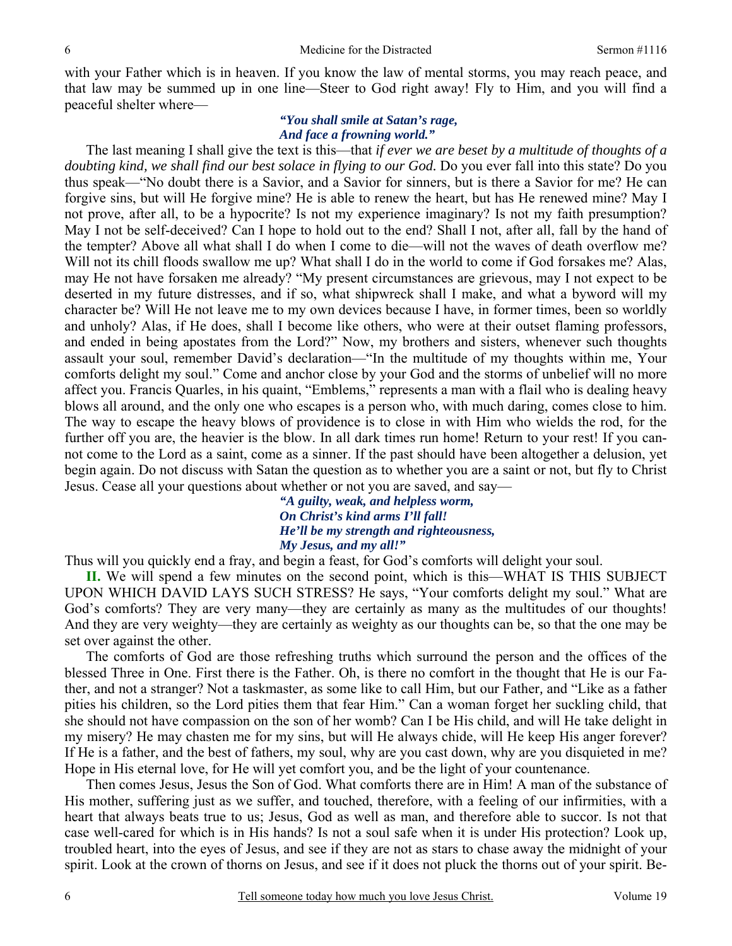with your Father which is in heaven. If you know the law of mental storms, you may reach peace, and that law may be summed up in one line—Steer to God right away! Fly to Him, and you will find a peaceful shelter where—

### *"You shall smile at Satan's rage, And face a frowning world."*

The last meaning I shall give the text is this—that *if ever we are beset by a multitude of thoughts of a doubting kind, we shall find our best solace in flying to our God.* Do you ever fall into this state? Do you thus speak—"No doubt there is a Savior, and a Savior for sinners, but is there a Savior for me? He can forgive sins, but will He forgive mine? He is able to renew the heart, but has He renewed mine? May I not prove, after all, to be a hypocrite? Is not my experience imaginary? Is not my faith presumption? May I not be self-deceived? Can I hope to hold out to the end? Shall I not, after all, fall by the hand of the tempter? Above all what shall I do when I come to die—will not the waves of death overflow me? Will not its chill floods swallow me up? What shall I do in the world to come if God forsakes me? Alas, may He not have forsaken me already? "My present circumstances are grievous, may I not expect to be deserted in my future distresses, and if so, what shipwreck shall I make, and what a byword will my character be? Will He not leave me to my own devices because I have, in former times, been so worldly and unholy? Alas, if He does, shall I become like others, who were at their outset flaming professors, and ended in being apostates from the Lord?" Now, my brothers and sisters, whenever such thoughts assault your soul, remember David's declaration—"In the multitude of my thoughts within me, Your comforts delight my soul." Come and anchor close by your God and the storms of unbelief will no more affect you. Francis Quarles, in his quaint, "Emblems," represents a man with a flail who is dealing heavy blows all around, and the only one who escapes is a person who, with much daring, comes close to him. The way to escape the heavy blows of providence is to close in with Him who wields the rod, for the further off you are, the heavier is the blow. In all dark times run home! Return to your rest! If you cannot come to the Lord as a saint, come as a sinner. If the past should have been altogether a delusion, yet begin again. Do not discuss with Satan the question as to whether you are a saint or not, but fly to Christ Jesus. Cease all your questions about whether or not you are saved, and say—

> *"A guilty, weak, and helpless worm, On Christ's kind arms I'll fall! He'll be my strength and righteousness, My Jesus, and my all!"*

Thus will you quickly end a fray, and begin a feast, for God's comforts will delight your soul.

**II.** We will spend a few minutes on the second point, which is this—WHAT IS THIS SUBJECT UPON WHICH DAVID LAYS SUCH STRESS? He says, "Your comforts delight my soul." What are God's comforts? They are very many—they are certainly as many as the multitudes of our thoughts! And they are very weighty—they are certainly as weighty as our thoughts can be, so that the one may be set over against the other.

The comforts of God are those refreshing truths which surround the person and the offices of the blessed Three in One. First there is the Father. Oh, is there no comfort in the thought that He is our Father, and not a stranger? Not a taskmaster, as some like to call Him, but our Father*,* and "Like as a father pities his children, so the Lord pities them that fear Him." Can a woman forget her suckling child, that she should not have compassion on the son of her womb? Can I be His child, and will He take delight in my misery? He may chasten me for my sins, but will He always chide, will He keep His anger forever? If He is a father, and the best of fathers, my soul, why are you cast down, why are you disquieted in me? Hope in His eternal love, for He will yet comfort you, and be the light of your countenance.

Then comes Jesus, Jesus the Son of God. What comforts there are in Him! A man of the substance of His mother, suffering just as we suffer, and touched, therefore, with a feeling of our infirmities, with a heart that always beats true to us; Jesus, God as well as man, and therefore able to succor. Is not that case well-cared for which is in His hands? Is not a soul safe when it is under His protection? Look up, troubled heart, into the eyes of Jesus, and see if they are not as stars to chase away the midnight of your spirit. Look at the crown of thorns on Jesus, and see if it does not pluck the thorns out of your spirit. Be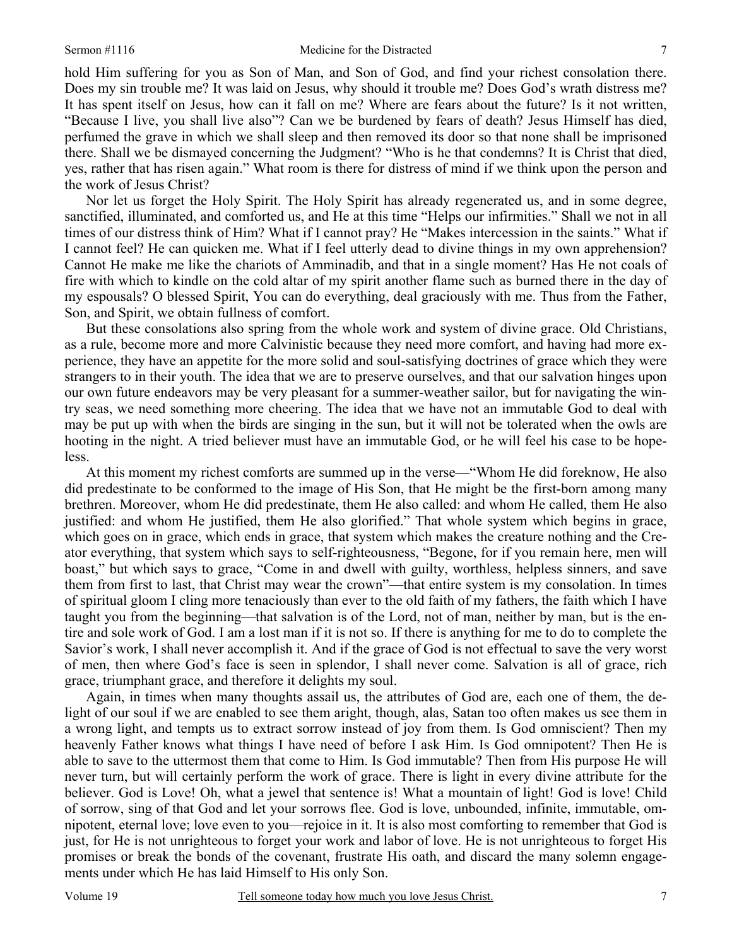hold Him suffering for you as Son of Man, and Son of God, and find your richest consolation there. Does my sin trouble me? It was laid on Jesus, why should it trouble me? Does God's wrath distress me? It has spent itself on Jesus, how can it fall on me? Where are fears about the future? Is it not written, "Because I live, you shall live also"? Can we be burdened by fears of death? Jesus Himself has died, perfumed the grave in which we shall sleep and then removed its door so that none shall be imprisoned there. Shall we be dismayed concerning the Judgment? "Who is he that condemns? It is Christ that died, yes, rather that has risen again." What room is there for distress of mind if we think upon the person and the work of Jesus Christ?

Nor let us forget the Holy Spirit. The Holy Spirit has already regenerated us, and in some degree, sanctified, illuminated, and comforted us, and He at this time "Helps our infirmities." Shall we not in all times of our distress think of Him? What if I cannot pray? He "Makes intercession in the saints." What if I cannot feel? He can quicken me. What if I feel utterly dead to divine things in my own apprehension? Cannot He make me like the chariots of Amminadib, and that in a single moment? Has He not coals of fire with which to kindle on the cold altar of my spirit another flame such as burned there in the day of my espousals? O blessed Spirit, You can do everything, deal graciously with me. Thus from the Father, Son, and Spirit, we obtain fullness of comfort.

But these consolations also spring from the whole work and system of divine grace. Old Christians, as a rule, become more and more Calvinistic because they need more comfort, and having had more experience, they have an appetite for the more solid and soul-satisfying doctrines of grace which they were strangers to in their youth. The idea that we are to preserve ourselves, and that our salvation hinges upon our own future endeavors may be very pleasant for a summer-weather sailor, but for navigating the wintry seas, we need something more cheering. The idea that we have not an immutable God to deal with may be put up with when the birds are singing in the sun, but it will not be tolerated when the owls are hooting in the night. A tried believer must have an immutable God, or he will feel his case to be hopeless.

At this moment my richest comforts are summed up in the verse—"Whom He did foreknow, He also did predestinate to be conformed to the image of His Son, that He might be the first-born among many brethren. Moreover, whom He did predestinate, them He also called: and whom He called, them He also justified: and whom He justified, them He also glorified." That whole system which begins in grace, which goes on in grace, which ends in grace, that system which makes the creature nothing and the Creator everything, that system which says to self-righteousness, "Begone, for if you remain here, men will boast," but which says to grace, "Come in and dwell with guilty, worthless, helpless sinners, and save them from first to last, that Christ may wear the crown"—that entire system is my consolation. In times of spiritual gloom I cling more tenaciously than ever to the old faith of my fathers, the faith which I have taught you from the beginning—that salvation is of the Lord, not of man, neither by man, but is the entire and sole work of God. I am a lost man if it is not so. If there is anything for me to do to complete the Savior's work, I shall never accomplish it. And if the grace of God is not effectual to save the very worst of men, then where God's face is seen in splendor, I shall never come. Salvation is all of grace, rich grace, triumphant grace, and therefore it delights my soul.

Again, in times when many thoughts assail us, the attributes of God are, each one of them, the delight of our soul if we are enabled to see them aright, though, alas, Satan too often makes us see them in a wrong light, and tempts us to extract sorrow instead of joy from them. Is God omniscient? Then my heavenly Father knows what things I have need of before I ask Him. Is God omnipotent? Then He is able to save to the uttermost them that come to Him. Is God immutable? Then from His purpose He will never turn, but will certainly perform the work of grace. There is light in every divine attribute for the believer. God is Love! Oh, what a jewel that sentence is! What a mountain of light! God is love! Child of sorrow, sing of that God and let your sorrows flee. God is love, unbounded, infinite, immutable, omnipotent, eternal love; love even to you—rejoice in it. It is also most comforting to remember that God is just, for He is not unrighteous to forget your work and labor of love. He is not unrighteous to forget His promises or break the bonds of the covenant, frustrate His oath, and discard the many solemn engagements under which He has laid Himself to His only Son.